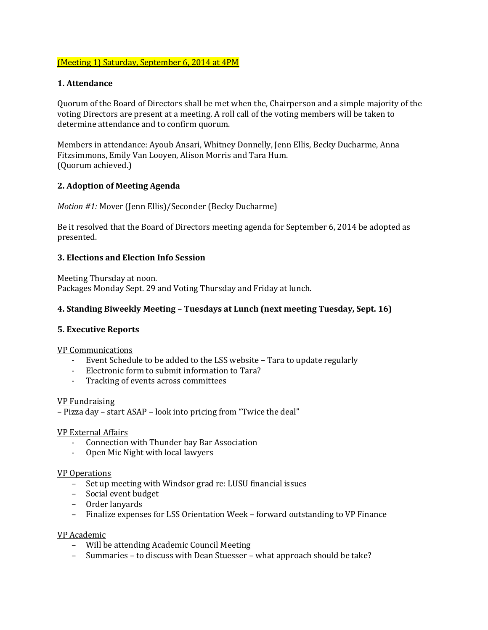# (Meeting 1) Saturday, September 6, 2014 at 4PM

## **1. Attendance**

Quorum of the Board of Directors shall be met when the, Chairperson and a simple majority of the voting Directors are present at a meeting. A roll call of the voting members will be taken to determine attendance and to confirm quorum.

Members in attendance: Ayoub Ansari, Whitney Donnelly, Jenn Ellis, Becky Ducharme, Anna Fitzsimmons, Emily Van Looyen, Alison Morris and Tara Hum. (Quorum achieved.)

### **2. Adoption of Meeting Agenda**

*Motion #1:* Mover (Jenn Ellis)/Seconder (Becky Ducharme)

Be it resolved that the Board of Directors meeting agenda for September 6, 2014 be adopted as presented.

# **3. Elections and Election Info Session**

Meeting Thursday at noon. Packages Monday Sept. 29 and Voting Thursday and Friday at lunch.

# **4. Standing Biweekly Meeting – Tuesdays at Lunch (next meeting Tuesday, Sept. 16)**

### **5. Executive Reports**

VP Communications

- Event Schedule to be added to the LSS website Tara to update regularly
- Electronic form to submit information to Tara?
- Tracking of events across committees

### VP Fundraising

– Pizza day – start ASAP – look into pricing from "Twice the deal"

### VP External Affairs

- Connection with Thunder bay Bar Association
- Open Mic Night with local lawyers

#### VP Operations

- Set up meeting with Windsor grad re: LUSU financial issues
- Social event budget
- Order lanyards
- Finalize expenses for LSS Orientation Week forward outstanding to VP Finance

### VP Academic

- Will be attending Academic Council Meeting
- Summaries to discuss with Dean Stuesser what approach should be take?